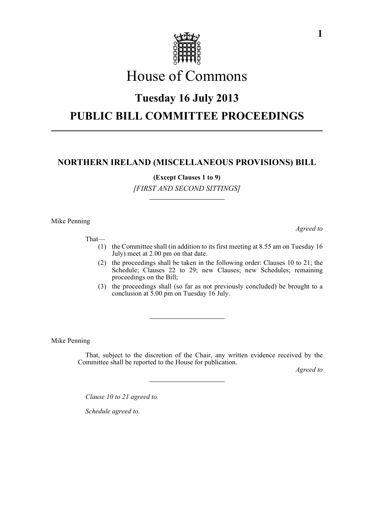

# House of Commons

### **Tuesday 16 July 2013**

## **PUBLIC BILL COMMITTEE PROCEEDINGS**

### **NORTHERN IRELAND (MISCELLANEOUS PROVISIONS) BILL**

**(Except Clauses 1 to 9)**

*[FIRST AND SECOND SITTINGS]*

Mike Penning

That—

*Agreed to*

- (1) the Committee shall (in addition to its first meeting at 8.55 am on Tuesday 16 July) meet at 2.00 pm on that date.
- (2) the proceedings shall be taken in the following order: Clauses 10 to 21; the Schedule; Clauses 22 to 29; new Clauses; new Schedules; remaining proceedings on the Bill;
- (3) the proceedings shall (so far as not previously concluded) be brought to a conclusion at 5.00 pm on Tuesday 16 July.

Mike Penning

That, subject to the discretion of the Chair, any written evidence received by the Committee shall be reported to the House for publication.

*Agreed to*

*Clause 10 to 21 agreed to.*

*Schedule agreed to.*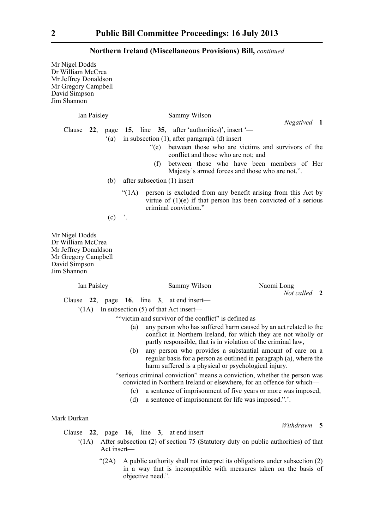Mr Nigel Dodds Dr William McCrea Mr Jeffrey Donaldson Mr Gregory Campbell David Simpson Jim Shannon Ian Paisley Sammy Wilson *Negatived* **1** Clause **22**, page **15**, line **35**, after 'authorities)', insert '— '(a) in subsection (1), after paragraph (d) insert— "(e) between those who are victims and survivors of the conflict and those who are not; and (f) between those who have been members of Her Majesty's armed forces and those who are not.". (b) after subsection (1) insert— "(1A) person is excluded from any benefit arising from this Act by virtue of (1)(e) if that person has been convicted of a serious criminal conviction."  $(c)$  '. Mr Nigel Dodds Dr William McCrea Mr Jeffrey Donaldson Mr Gregory Campbell David Simpson Jim Shannon Ian Paisley Sammy Wilson Naomi Long *Not called* **2** Clause **22**, page **16**, line **3**, at end insert— '(1A) In subsection (5) of that Act insert— ""victim and survivor of the conflict" is defined as— (a) any person who has suffered harm caused by an act related to the conflict in Northern Ireland, for which they are not wholly or partly responsible, that is in violation of the criminal law, (b) any person who provides a substantial amount of care on a regular basis for a person as outlined in paragraph (a), where the harm suffered is a physical or psychological injury. "serious criminal conviction" means a conviction, whether the person was convicted in Northern Ireland or elsewhere, for an offence for which— (c) a sentence of imprisonment of five years or more was imposed, (d) a sentence of imprisonment for life was imposed.".'.

#### Mark Durkan

Clause **22**, page **16**, line **3**, at end insert—

- '(1A) After subsection (2) of section 75 (Statutory duty on public authorities) of that Act insert—
	- " $(2A)$  A public authority shall not interpret its obligations under subsection  $(2)$ in a way that is incompatible with measures taken on the basis of objective need.".

*Withdrawn* **5**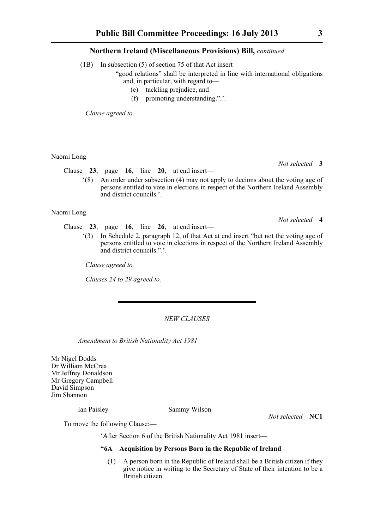(1B) In subsection (5) of section 75 of that Act insert—

"good relations" shall be interpreted in line with international obligations and, in particular, with regard to—

- (e) tackling prejudice, and
- (f) promoting understanding.".'.

*Clause agreed to.*

Naomi Long

*Not selected* **3**

*Not selected* **4**

Clause **23**, page **16**, line **20**, at end insert—

'(8) An order under subsection (4) may not apply to decions about the voting age of persons entitled to vote in elections in respect of the Northern Ireland Assembly and district councils.'.

Naomi Long

- Clause **23**, page **16**, line **26**, at end insert—
	- '(3) In Schedule 2, paragraph 12, of that Act at end insert "but not the voting age of persons entitled to vote in elections in respect of the Northern Ireland Assembly and district councils.".'.

*Clause agreed to.*

*Clauses 24 to 29 agreed to.*

#### *NEW CLAUSES*

*Amendment to British Nationality Act 1981*

Mr Nigel Dodds Dr William McCrea Mr Jeffrey Donaldson Mr Gregory Campbell David Simpson Jim Shannon

Ian Paisley Sammy Wilson

*Not selected* **NC1**

To move the following Clause:—

'After Section 6 of the British Nationality Act 1981 insert—

#### **"6A Acquisition by Persons Born in the Republic of Ireland**

(1) A person born in the Republic of Ireland shall be a British citizen if they give notice in writing to the Secretary of State of their intention to be a British citizen.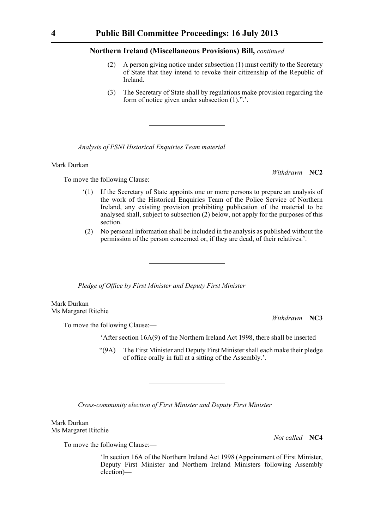- (2) A person giving notice under subsection (1) must certify to the Secretary of State that they intend to revoke their citizenship of the Republic of Ireland.
- (3) The Secretary of State shall by regulations make provision regarding the form of notice given under subsection (1).".'.

*Analysis of PSNI Historical Enquiries Team material*

#### Mark Durkan

To move the following Clause:—

- '(1) If the Secretary of State appoints one or more persons to prepare an analysis of the work of the Historical Enquiries Team of the Police Service of Northern Ireland, any existing provision prohibiting publication of the material to be analysed shall, subject to subsection (2) below, not apply for the purposes of this section.
- (2) No personal information shall be included in the analysis as published without the permission of the person concerned or, if they are dead, of their relatives.'.

*Pledge of Office by First Minister and Deputy First Minister*

Mark Durkan Ms Margaret Ritchie

*Withdrawn* **NC3**

To move the following Clause:—

'After section 16A(9) of the Northern Ireland Act 1998, there shall be inserted—

"(9A) The First Minister and Deputy First Minister shall each make their pledge of office orally in full at a sitting of the Assembly.'.

*Cross-community election of First Minister and Deputy First Minister*

Mark Durkan Ms Margaret Ritchie

*Not called* **NC4**

To move the following Clause:—

'In section 16A of the Northern Ireland Act 1998 (Appointment of First Minister, Deputy First Minister and Northern Ireland Ministers following Assembly election)—

*Withdrawn* **NC2**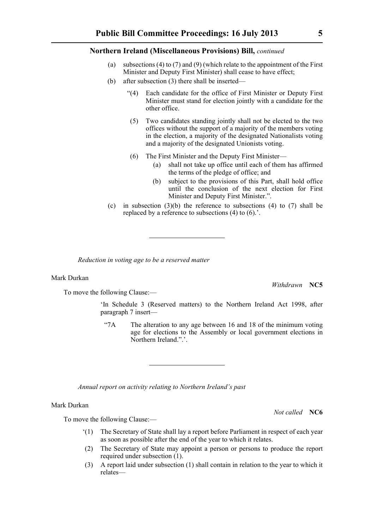- (a) subsections (4) to (7) and (9) (which relate to the appointment of the First Minister and Deputy First Minister) shall cease to have effect;
- (b) after subsection (3) there shall be inserted—
	- "(4) Each candidate for the office of First Minister or Deputy First Minister must stand for election jointly with a candidate for the other office.
	- (5) Two candidates standing jointly shall not be elected to the two offices without the support of a majority of the members voting in the election, a majority of the designated Nationalists voting and a majority of the designated Unionists voting.
	- (6) The First Minister and the Deputy First Minister—
		- (a) shall not take up office until each of them has affirmed the terms of the pledge of office; and
		- (b) subject to the provisions of this Part, shall hold office until the conclusion of the next election for First Minister and Deputy First Minister.".
- (c) in subsection  $(3)(b)$  the reference to subsections  $(4)$  to  $(7)$  shall be replaced by a reference to subsections (4) to (6).'.

*Reduction in voting age to be a reserved matter*

#### Mark Durkan

To move the following Clause:—

*Withdrawn* **NC5**

'In Schedule 3 (Reserved matters) to the Northern Ireland Act 1998, after paragraph 7 insert—

"7A The alteration to any age between 16 and 18 of the minimum voting age for elections to the Assembly or local government elections in Northern Ireland.".'.

*Annual report on activity relating to Northern Ireland's past*

#### Mark Durkan

*Not called* **NC6**

To move the following Clause:—

- '(1) The Secretary of State shall lay a report before Parliament in respect of each year as soon as possible after the end of the year to which it relates.
- (2) The Secretary of State may appoint a person or persons to produce the report required under subsection (1).
- (3) A report laid under subsection (1) shall contain in relation to the year to which it relates—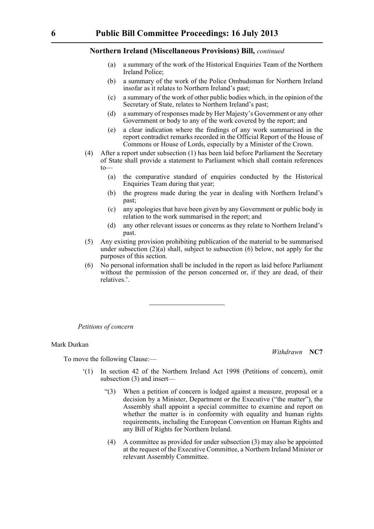- (a) a summary of the work of the Historical Enquiries Team of the Northern Ireland Police;
- (b) a summary of the work of the Police Ombudsman for Northern Ireland insofar as it relates to Northern Ireland's past;
- (c) a summary of the work of other public bodies which, in the opinion of the Secretary of State, relates to Northern Ireland's past;
- (d) a summary of responses made by Her Majesty's Government or any other Government or body to any of the work covered by the report; and
- (e) a clear indication where the findings of any work summarised in the report contradict remarks recorded in the Official Report of the House of Commons or House of Lords, especially by a Minister of the Crown.
- (4) After a report under subsection (1) has been laid before Parliament the Secretary of State shall provide a statement to Parliament which shall contain references  $to$ -
	- (a) the comparative standard of enquiries conducted by the Historical Enquiries Team during that year;
	- (b) the progress made during the year in dealing with Northern Ireland's past;
	- (c) any apologies that have been given by any Government or public body in relation to the work summarised in the report; and
	- (d) any other relevant issues or concerns as they relate to Northern Ireland's past.
- (5) Any existing provision prohibiting publication of the material to be summarised under subsection (2)(a) shall, subject to subsection (6) below, not apply for the purposes of this section.
- (6) No personal information shall be included in the report as laid before Parliament without the permission of the person concerned or, if they are dead, of their relatives.'.

*Petitions of concern*

#### Mark Durkan

To move the following Clause:—

*Withdrawn* **NC7**

- '(1) In section 42 of the Northern Ireland Act 1998 (Petitions of concern), omit subsection (3) and insert—
	- "(3) When a petition of concern is lodged against a measure, proposal or a decision by a Minister, Department or the Executive ("the matter"), the Assembly shall appoint a special committee to examine and report on whether the matter is in conformity with equality and human rights requirements, including the European Convention on Human Rights and any Bill of Rights for Northern Ireland.
	- (4) A committee as provided for under subsection (3) may also be appointed at the request of the Executive Committee, a Northern Ireland Minister or relevant Assembly Committee.